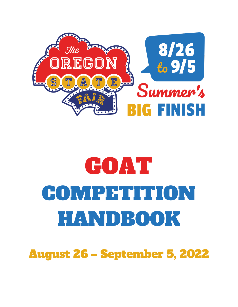

# GOAT COMPETITION HANDBOOK

August 26 – September 5, 2022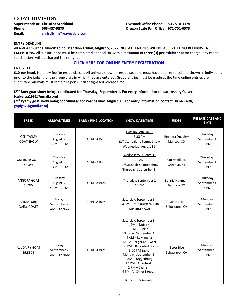# **GOAT DIVISION**

**Superintendent: Christina Strickland Phone: 503-407-9875 Email: [christilynn@wavecable.com](mailto:christilynn@wavecable.com)**

#### **ENTRY DEADLINE**

All entries must be submitted no later than **Friday, August 5, 2022. NO LATE ENTRIES WILL BE ACCEPTED. NO REFUNDS! NO EXCEPTIONS.** All substitutions must be completed at check-in, with a maximum of **three (3) per exhibitor** at no charge; any other substitutions will be charged the entry fee.

#### **[CLICK HERE FOR ONLINE ENTRY REGISTRATION](http://oregona.fairwire.com/)**

#### **ENTRY FEE**

**\$10 per head.** No entry fee for group classes. All animals shown in group sections must have been entered and shown as individuals prior to the judging of the group class in which they are entered. Group entries must be made at the time online entries are submitted. Animals must remain in pens until designated release time.

#### **(2nd Boer goat show being coordinated for Thursday, September 1. For entry information contact Ashley Culver, (culveraa1992@gmail.com)**

**(2nd Pygmy goat show being coordinated for Wednesday, August 31. For entry information contact Diane Keith, [gopig57@gmail.com\)](mailto:gopig57@gmail.com)**

| <b>BREED</b>                           | <b>ARRIVAL TIMES</b>                                    | <b>BARN / RING LOCATION</b> | <b>SHOW DATE/TIME</b>                                                                                                                                                                                                                                                                                                | <b>JUDGE</b>                         | <b>RELEASE DATE AND</b><br><b>TIME</b> |
|----------------------------------------|---------------------------------------------------------|-----------------------------|----------------------------------------------------------------------------------------------------------------------------------------------------------------------------------------------------------------------------------------------------------------------------------------------------------------------|--------------------------------------|----------------------------------------|
| <b>OSF PYGMY</b><br><b>GOAT SHOW</b>   | Tuesday<br>August 30<br>$8AM - 1PM$                     | 4-H/FFA Barn                | Tuesday, August 30<br>6:30 PM<br>Rebecca Doughty<br>(2 <sup>nd</sup> Standalone Pygmy Show<br>Wednesday, August 31)                                                                                                                                                                                                  |                                      | Thursday,<br>September 1<br>8 PM       |
| OSF BOER GOAT<br>SHOW                  | Tuesday<br>August 30<br>$8AM - 1PM$                     | 4-H/FFA Barn                | Wednesday, August 31<br>10 AM<br>(2 <sup>nd</sup> Standalone Boer Show<br>Thursday, September 1)                                                                                                                                                                                                                     | Corey Billups<br>Greenup, KY         | Thursday,<br>September 1<br>8 PM       |
| ANGORA GOAT<br><b>SHOW</b>             | Tuesday<br>August 30<br>$8AM - 1PM$                     | 4-H/FFA Barn                | Thursday, September 1<br>10 AM                                                                                                                                                                                                                                                                                       | <b>Bonnie Naumann</b><br>Bandara, TX | Thursday,<br>September 1<br>8 PM       |
| <b>MINIATURE</b><br><b>DAIRY GOATS</b> | Friday<br>September 2<br>6 AM - 12 Noon                 | 4-H/FFA Barn                | Saturday, September 3<br>10 AM - Miniature Nubian<br>Miniature AOB                                                                                                                                                                                                                                                   |                                      | Monday,<br>September 5<br>8 PM         |
| ALL DAIRY GOAT<br><b>BREEDS</b>        | Friday<br>September 2<br>4-H/FFA Barn<br>6 AM - 12 Noon |                             | Saturday, September 3<br>1 PM - Nubian<br>3 PM - Alpine<br>Sunday, September 4<br>9 AM - LaMancha<br>12 PM - Nigerian Dwarf<br>3:00 PM - Recorded Grade<br>5:00 PM Sable<br>Monday, September 5<br>9 AM - Toggenburg<br>12 PM - Oberhasli<br>2 PM - Saanen<br>4 PM- All Other Breeds<br><b>BIS Show &amp; Awards</b> | <b>Scott Bice</b><br>Sebastapol, CA  | Monday,<br>September 5<br>8 PM         |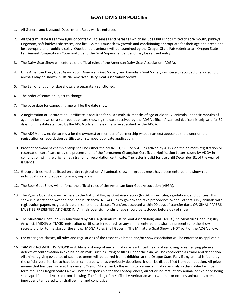# **GOAT DIVISION POLICIES**

- 1. All General and Livestock Department Rules will be enforced.
- 2. All goats must be free from signs of contagious diseases and parasites which includes but is not limited to sore mouth, pinkeye, ringworm, soft hairless abscesses, and lice. Animals must show growth and conditioning appropriate for their age and breed and be appropriate for public display. Questionable animals will be examined by the Oregon State Fair veterinarian, Oregon State Fair Animal Competitions Coordinator, and the Goat Superintendent and may be refused entry.
- 3. The Dairy Goat Show will enforce the official rules of the American Dairy Goat Association (ADGA).
- 4. Only American Dairy Goat Association, American Goat Society and Canadian Goat Society registered, recorded or applied for, animals may be shown in Official American Dairy Goat Association Shows.
- 5. The Senior and Junior doe shows are separately sanctioned.
- 6. The order of show is subject to change.
- 7. The base date for computing age will be the date shown.
- 8. A Registration or Recordation Certificate is required for all animals six months of age or older. All animals under six months of age may be shown on a stamped duplicate showing the date received by the ADGA office. A stamped duplicate is only valid for 30 days from the date stamped by the ADGA office unless otherwise specified by the ADGA.
- 9. The ADGA show exhibitor must be the owner(s) or member of partnership whose name(s) appear as the owner on the registration or recordation certificate or stamped duplicate application.
- 10. Proof of permanent championship shall be either the prefix CH, GCH or SGCH as affixed by ADGA on the animal's registration or recordation certificate or by the presentation of the Permanent Champion Certificate Notification Letter issued by ADGA in conjunction with the original registration or recordation certificate. The letter is valid for use until December 31 of the year of issuance.
- 11. Group entries must be listed on entry registration. All animals shown in groups must have been entered and shown as individuals prior to appearing in a group class.
- 12. The Boer Goat Show will enforce the official rules of the American Boer Goat Association (ABGA).
- 13. The Pygmy Goat Show will adhere to the National Pygmy Goat Association (NPGA) show rules, regulations, and policies. This show is a sanctioned wether, doe, and buck show. NPGA rules to govern and take precedence over all others. Only animals with registration papers may participate in sanctioned classes. Transfers accepted within 90 days of transfer date. ORIGINAL PAPERS MUST BE PRESENTED AT CHECK IN. Animals over six months of age should be tattooed before day of show.
- 14. The Miniature Goat Show is sanctioned by MDGA (Miniature Dairy Goat Association) and TMGR (The Miniature Goat Registry). An official MDGA or TMGR registration certificate is required for any animal entered and shall be presented to the show secretary prior to the start of the show. MDGA Rules Shall Govern. The Miniature Goat Show is NOT part of the ADGA show.
- 15. For other goat classes, all rules and regulations of the respective breed and/or show association will be enforced as applicable.
- 16. **TAMPERING WITH LIVESTOCK —** Artificial coloring of any animal or any artificial means of removing or remedying physical defects of conformation in exhibition animals, such as lifting or filling under the skin, will be considered as fraud and deception. All animals giving evidence of such treatment will be barred from exhibition at the Oregon State Fair. If any animal is found by the official veterinarian to have been tampered with as previously described, it shall be disqualified from competition. All prize money that has been won at the current Oregon State Fair by the exhibitor on any animal or animals so disqualified will be forfeited. The Oregon State Fair will not be responsible for the consequences, direct or indirect, of any animal or exhibitor being so disqualified or debarred from showing. The finding of the official veterinarian as to whether or not any animal has been improperly tampered with shall be final and conclusive.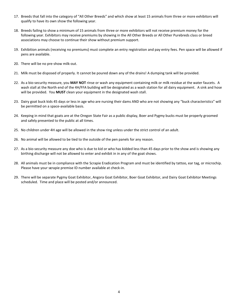- 17. Breeds that fall into the category of "All Other Breeds" and which show at least 15 animals from three or more exhibitors will qualify to have its own show the following year.
- 18. Breeds failing to show a minimum of 15 animals from three or more exhibitors will not receive premium money for the following year. Exhibitors may receive premiums by showing in the All Other Breeds or All Other Purebreds class or breed associations may choose to continue their show without premium support.
- 19. Exhibition animals (receiving no premiums) must complete an entry registration and pay entry fees. Pen space will be allowed if pens are available.
- 20. There will be no pre-show milk-out.
- 21. Milk must be disposed of properly. It cannot be poured down any of the drains! A dumping tank will be provided.
- 22. As a bio-security measure, you **MAY NOT** rinse or wash any equipment containing milk or milk residue at the water faucets. A wash stall at the North end of the 4H/FFA building will be designated as a wash station for all dairy equipment. A sink and hose will be provided. You **MUST** clean your equipment in the designated wash stall.
- 23. Dairy goat buck kids 45 days or less in age who are nursing their dams AND who are not showing any "buck characteristics" will be permitted on a space-available basis.
- 24. Keeping in mind that goats are at the Oregon State Fair as a public display, Boer and Pygmy bucks must be properly groomed and safely presented to the public at all times.
- 25. No children under 4H age will be allowed in the show ring unless under the strict control of an adult.
- 26. No animal will be allowed to be tied to the outside of the pen panels for any reason.
- 27. As a bio-security measure any doe who is due to kid or who has kidded less than 45 days prior to the show and is showing any birthing discharge will not be allowed to enter and exhibit in in any of the goat shows.
- 28. All animals must be in compliance with the Scrapie Eradication Program and must be identified by tattoo, ear tag, or microchip. Please have your s**c**rapie premise ID number available at check-in.
- 29. There will be separate Pygmy Goat Exhibitor, Angora Goat Exhibitor, Boer Goat Exhibitor, and Dairy Goat Exhibitor Meetings scheduled. Time and place will be posted and/or announced.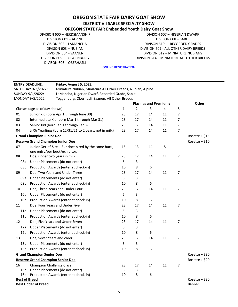# **OREGON STATE FAIR DAIRY GOAT SHOW DISTRICT VII SABLE SPECIALTY SHOW**

# **OREGON STATE FAIR Embedded Youth Dairy Goat Show**

DIVISION 600 – HERDSMANSHIP DIVISION 601 – ALPINE DIVISION 602 – LAMANCHA DIVISON 603 – NUBIAN DIVISION 604 - SAANEN DIVISION 605 – TOGGENBURG DIVISON 606 – OBERHASLI

DIVISON 607 – NIGERIAN DWARF DIVISON 608 – SABLE DIVISON 610 — RECORDED GRADES DIVISION 609 - ALL OTHER DAIRY BREEDS DIVISION 612 – MINIATURE NUBIANS DIVISION 614 – MINIATURE ALL OTHER BREEDS

|                      | <b>ENTRY DEADLINE:</b>                   | Friday, August 5, 2022                                                                  |    |    |                              |    |   |                 |
|----------------------|------------------------------------------|-----------------------------------------------------------------------------------------|----|----|------------------------------|----|---|-----------------|
|                      | SATURDAY 9/3/2022:                       | Miniature Nubian, Miniature All Other Breeds, Nubian, Alpine                            |    |    |                              |    |   |                 |
|                      | SUNDAY 9/4/2022:                         | LaMancha, Nigerian Dwarf, Recorded Grade, Sable                                         |    |    |                              |    |   |                 |
|                      | MONDAY 9/5/2022:                         | Toggenburg, Oberhasli, Saanen, All Other Breeds                                         |    |    |                              |    |   |                 |
|                      |                                          |                                                                                         |    |    | <b>Placings and Premiums</b> |    |   | Other           |
|                      | Classes (age as of day shown)            |                                                                                         | 1  | 2  | 3                            | 4  | 5 |                 |
| 01                   |                                          | Junior Kid (born Apr 1 through June 30)                                                 | 23 | 17 | 14                           | 11 | 7 |                 |
| 02                   |                                          | Intermediate Kid (born Mar 1 through Mar 31)                                            | 23 | 17 | 14                           | 11 | 7 |                 |
| 03                   |                                          | Senior Kid (born Jan 1 through Feb 28)                                                  | 23 | 17 | 14                           | 11 | 7 |                 |
| 04                   |                                          | Jr/Sr Yearlings (born 12/31/21 to 2 years, not in milk)                                 | 23 | 17 | 14                           | 11 | 7 |                 |
|                      | <b>Grand Champion Junior Doe</b>         |                                                                                         |    |    |                              |    |   | Rosette + $$15$ |
|                      | <b>Reserve Grand Champion Junior Doe</b> |                                                                                         |    |    |                              |    |   | Rosette + $$10$ |
| 07                   |                                          | Junior Get-of-Sire - 3 Jr does sired by the same buck,<br>one entry/per buck/exhibitor. | 15 | 13 | 11                           | 8  |   |                 |
| 08                   |                                          | Doe, under two years in milk                                                            | 23 | 17 | 14                           | 11 | 7 |                 |
| 08a                  |                                          | Udder Placements (do not enter)                                                         | 5  | 3  |                              |    |   |                 |
| 08b                  |                                          | Production Awards (enter at check-in)                                                   | 10 | 8  | 6                            |    |   |                 |
| 09                   |                                          | Doe, Two Years and Under Three                                                          | 23 | 17 | 14                           | 11 | 7 |                 |
| 09a                  |                                          | Udder Placements (do not enter)                                                         | 5  | 3  |                              |    |   |                 |
| 09b                  |                                          | Production Awards (enter at check-in)                                                   | 10 | 8  | 6                            |    |   |                 |
| 10                   |                                          | Doe, Three Years and Under Four                                                         | 23 | 17 | 14                           | 11 | 7 |                 |
| 10a                  |                                          | Udder Placements (do not enter)                                                         | 5  | 3  |                              |    |   |                 |
| 10 <sub>b</sub>      |                                          | Production Awards (enter at check-in)                                                   | 10 | 8  | 6                            |    |   |                 |
| 11                   |                                          | Doe, Four Years and Under Five                                                          | 23 | 17 | 14                           | 11 | 7 |                 |
| 11a                  |                                          | Udder Placements (do not enter)                                                         | 5  | 3  |                              |    |   |                 |
| 11 <sub>b</sub>      |                                          | Production Awards (enter at check-in)                                                   | 10 | 8  | 6                            |    |   |                 |
| 12                   |                                          | Doe, Five Years and Under Seven                                                         | 23 | 17 | 14                           | 11 | 7 |                 |
| 12a                  |                                          | Udder Placements (do not enter)                                                         | 5  | 3  |                              |    |   |                 |
| 12 <sub>b</sub>      |                                          | Production Awards (enter at check-in)                                                   | 10 | 8  | 6                            |    |   |                 |
| 13                   | Doe, Sever Years and older               |                                                                                         | 23 | 17 | 14                           | 11 | 7 |                 |
| 13a                  |                                          | Udder Placements (do not enter)                                                         | 5  | 3  |                              |    |   |                 |
| 13 <sub>b</sub>      |                                          | Production Awards (enter at check-in)                                                   | 10 | 8  | 6                            |    |   |                 |
|                      | <b>Grand Champion Senior Doe</b>         |                                                                                         |    |    |                              |    |   | Rosette + $$30$ |
|                      | <b>Reserve Grand Champion Senior Doe</b> |                                                                                         |    |    |                              |    |   | Rosette + $$20$ |
| 16                   | <b>Champion Challenge Class</b>          |                                                                                         | 23 | 17 | 14                           | 11 | 7 |                 |
| 16a                  |                                          | Udder Placements (do not enter)                                                         | 5  | 3  |                              |    |   |                 |
|                      |                                          | 16b Production Awards (enter at check-in)                                               | 10 | 8  | 6                            |    |   |                 |
| <b>Best of Breed</b> |                                          |                                                                                         |    |    |                              |    |   | Rosette + $$30$ |
|                      | <b>Best Udder of Breed</b>               |                                                                                         |    |    |                              |    |   | Banner          |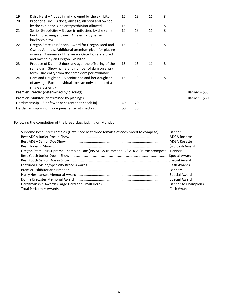| 19<br>20 | Dairy Herd $-4$ does in milk, owned by the exhibitor<br>Breeder's Trio – 3 does, any age, all bred and owned                                                                                             | 15 | 13 | 11 | 8 |                |
|----------|----------------------------------------------------------------------------------------------------------------------------------------------------------------------------------------------------------|----|----|----|---|----------------|
|          | by the exhibitor. One entry/exhibitor allowed.                                                                                                                                                           | 15 | 13 | 11 | 8 |                |
| 21       | Senior Get-of-Sire $-3$ does in milk sired by the same<br>buck. Borrowing allowed. One entry by same<br>buck/exhibitor.                                                                                  | 15 | 13 | 11 | 8 |                |
| 22       | Oregon State Fair Special Award for Oregon Bred and<br>Owned Animals. Additional premium given for placing<br>when all 3 animals of the Senior Get-of-Sire are bred<br>and owned by an Oregon Exhibitor. | 15 | 13 | 11 | 8 |                |
| 23       | Produce of Dam $-2$ does any age, the offspring of the<br>same dam. Show name and number of dam on entry<br>form. One entry from the same dam per exhibitor.                                             | 15 | 13 | 11 | 8 |                |
| 24       | Dam and Daughter - A senior doe and her daughter<br>of any age. Each individual doe can only be part of a<br>single class entry.                                                                         | 15 | 13 | 11 | 8 |                |
|          | Premier Breeder (determined by placings)                                                                                                                                                                 |    |    |    |   | Banner + \$35  |
|          | Premier Exhibitor (determined by placings)                                                                                                                                                               |    |    |    |   | Banner + $$30$ |
|          | Herdsmanship $-8$ or fewer pens (enter at check-in)                                                                                                                                                      | 40 | 20 |    |   |                |
|          | Herdsmanship $-9$ or more pens (enter at check-in)                                                                                                                                                       | 60 | 30 |    |   |                |

Following the completion of the breed class judging on Monday:

| Supreme Best Three Females (First Place best three females of each breed to compete)      | Banner                     |
|-------------------------------------------------------------------------------------------|----------------------------|
|                                                                                           | ADGA Rosette               |
|                                                                                           | ADGA Rosette               |
|                                                                                           | \$25 Cash Award            |
| Oregon State Fair Supreme Champion Doe (BIS ADGA Jr Doe and BIS ADGA Sr Doe ccompete)     | Banner                     |
| Best Youth Junior Doe in Show music measurement manufacture measurement and Special Award |                            |
|                                                                                           |                            |
|                                                                                           | Cash Awards                |
|                                                                                           | <b>Banners</b>             |
|                                                                                           | Special Award              |
|                                                                                           | Special Award              |
|                                                                                           | <b>Banner to Champions</b> |
|                                                                                           | Cash Award                 |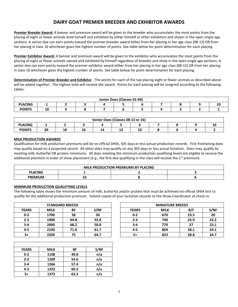# **DAIRY GOAT PREMIER BREEDER AND EXHIBITOR AWARDS**

**Premier Breeder Award:** A banner and premium award will be given to the breeder who accumulates the most points from the placing of eight or fewer animals bred himself and exhibited by either himself or other exhibitors and shown in the open single age sections. A senior doe can earn points toward the premier breeder award either from her placing in her age class (08-13) OR from her placing in class 16 whichever gives the highest number of points. See table below for point determination for each placing.

**Premier Exhibitor Award:** A banner and premium award will be given to the exhibitor who accumulates the most points from the placing of eight or fewer animals owned and exhibited by himself regardless of breeder and show in the open single age sections. A senior doe can earn points toward the premier exhibitor award either from her placing in her age class (08-13) OR from her placing in class 16 whichever gives the highest number of points. See table below for point determination for each placing.

**Determination of Premier Breeder and Exhibitor -** The points for each of the top placing eight or fewer animals as described above will be added together. The highest total will receive the award. Points for each placing will be assigned according to the following tables:

|                | Junior Does (Classes 01-04) |  |  |  |  |  |  |  |  |    |  |  |
|----------------|-----------------------------|--|--|--|--|--|--|--|--|----|--|--|
| <b>PLACING</b> |                             |  |  |  |  |  |  |  |  | ΙU |  |  |
| <b>POINTS</b>  | 10                          |  |  |  |  |  |  |  |  |    |  |  |

|                       | Senior Does (Classes 08-13 or 16) |          |    |    |    |    |  |  |  |  |  |  |
|-----------------------|-----------------------------------|----------|----|----|----|----|--|--|--|--|--|--|
| <b>PLACING</b><br>. . |                                   |          |    |    |    |    |  |  |  |  |  |  |
| <b>POINTS</b>         | הר<br>Zu                          | 10<br>ΤO | 16 | 14 | -- | 10 |  |  |  |  |  |  |

#### **MILK PRODUCTION AWARDS**

Qualification for milk production premiums will be on official DHIA, 305 days or less actual production records. First freshening does may qualify based on a projected record. All other does may qualify on any 305 days or less actual lactation. Does may qualify by meeting milk, butterfat OR protein minimums. All does meeting the minimum production qualifying levels are eligible to receive the additional premium in order of show placement (e.g., the first doe qualifying in the class will receive the 1<sup>st</sup> premium).

| <b>MILK PRODUCTION PREMIUMS BY PLACING</b> |   |  |  |  |  |  |  |  |
|--------------------------------------------|---|--|--|--|--|--|--|--|
| <b>PLACING</b>                             |   |  |  |  |  |  |  |  |
| <b>PREMIUM</b>                             | ∸ |  |  |  |  |  |  |  |

#### **MINIMUM PRODUCTION QUALIFYING LEVELS**

The following table shows the minimum amount of milk, butterfat and/or protein that must be achieved via official DHIA test to qualify for the additional production premium. Submit copies of your lactation records to the Show Coordinator at check-in.

| <b>STANDARD BREEDS</b> |             |      |      |  |  |  |  |  |  |
|------------------------|-------------|------|------|--|--|--|--|--|--|
| <b>YEARS</b>           | <b>MILK</b> | ΒF   | S/NF |  |  |  |  |  |  |
| $0 - 2$                | 1700        | 58   | 50   |  |  |  |  |  |  |
| $2 - 3$                | 1900        | 64.8 | 55.8 |  |  |  |  |  |  |
| $3 - 4$                | 2000        | 68.2 | 58.8 |  |  |  |  |  |  |
| 4-5                    | 2100        | 71.6 | 61.7 |  |  |  |  |  |  |
| 5+                     | 2200        | 75   | 64.7 |  |  |  |  |  |  |

| <b>YEARS</b> | <b>MILK</b> | BF   | S/NF |
|--------------|-------------|------|------|
| $0 - 2$      | 1108        | 49.8 | n/a  |
| $2 - 3$      | 1209        | 54.6 | n/a  |
| $3 - 4$      | 1266        | 57.4 | n/a  |
| $4 - 5$      | 1322        | 60.3 | n/a  |
| 5+           | 1372        | 63.3 | n/a  |

|              |             | <b>STANDARD BREEDS</b> |      |              | <b>MINIATURE BREEDS</b> |      |      |
|--------------|-------------|------------------------|------|--------------|-------------------------|------|------|
| <b>YEARS</b> | <b>MILK</b> | BF                     | S/NF | <b>YEARS</b> | <b>MILK</b>             | B/F  | S/NF |
| $0 - 2$      | 1700        | 58                     | 50   | $0 - 2$      | 670                     | 23.5 | 20   |
| $2 - 3$      | 1900        | 64.8                   | 55.8 | $2 - 3$      | 740                     | 25.9 | 22.2 |
| $3 - 4$      | 2000        | 68.2                   | 58.8 | $3-4$        | 770                     | 27   | 23.1 |
| $4 - 5$      | 2100        | 71.6                   | 61.7 | 4-5          | 804                     | 28.1 | 24.1 |
| 5+           | 2200        | 75                     | 64.7 | $5+$         | 823                     | 28.8 | 24.7 |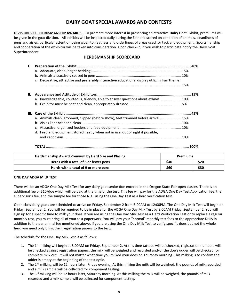# **DAIRY GOAT SPECIAL AWARDS AND CONTESTS**

**DIVISION 600 – HERDSMANSHIP AWARDS –** To promote more interest in presenting an attractive **Dairy** Goat Exhibit, premiums will be given in the goat division. All exhibits will be inspected daily during the Fair and scored on condition of animals, cleanliness of pens and aisles, particular attention being given to neatness and orderliness of areas used for tack and equipment. Sportsmanship and cooperation of the exhibitor will be taken into consideration. Upon check-in, if you wish to participate notify the Dairy Goat Superintendent.

#### **HERDSMANSHIP SCORECARD**

| $\mathbf{L}$ |                                                                                                |  |
|--------------|------------------------------------------------------------------------------------------------|--|
|              |                                                                                                |  |
|              |                                                                                                |  |
|              | c. Decorative, attractive and preferably interactive educational display utilizing Fair theme: |  |
|              |                                                                                                |  |
| II.          |                                                                                                |  |
|              | a. Knowledgeable, courteous, friendly, able to answer questions about exhibit  10%             |  |
|              |                                                                                                |  |
|              |                                                                                                |  |
|              | a. Animals clean, groomed, clipped (before show), feet trimmed before arrival 15%              |  |
|              |                                                                                                |  |
|              |                                                                                                |  |
|              | d. Feed and equipment stored neatly when not in use, out of sight if possible,                 |  |
|              |                                                                                                |  |
|              |                                                                                                |  |
|              |                                                                                                |  |

| Herdsmanship Award Premium by Herd Size and Placing | <b>Premiums</b> |      |
|-----------------------------------------------------|-----------------|------|
| Herds with a total of 8 or fewer pens               | S40             | \$20 |
| Herds with a total of 9 or more pens                | \$60            | \$30 |

#### **ONE DAY ADGA MILK TEST**

There will be an ADGA One Day Milk Test for any dairy goat senior doe entered in the Oregon State Fair open classes. There is an additional fee of \$10/doe which will be paid at the time of the test. This fee will pay for the ADGA One Day Test Application fee, the supervisor's fee, and the sample fee for those NOT using the One Day Test as a herd verification test.

Open class dairy goats are scheduled to arrive on Friday, September 2 from 6:00AM to 12:00PM. The One Day Milk Test will begin on Friday, September 2. You will be required to be in place for the ADGA One Day Milk Test by 8:00AM Friday, September 2. You will sign up for a specific time to milk your does. If you are using the One Day Milk Test as a Herd Verification Test or to replace a regular monthly test, you must bring all of your test paperwork. You will pay your "normal" monthly test fees to the appropriate DHIA in addition to the per animal fee mentioned above. If you are using the One Day Milk Test to verify specific does but not the whole herd you need only bring their registration papers to the test.

The schedule for the One Day Milk Test is as follows:

- 1. The  $1<sup>st</sup>$  milking will begin at 8:00AM on Friday, September 2. At this time tattoos will be checked, registration numbers will be checked against registration papers, the milk will be weighed and recorded and/or the doe's udder will be checked for complete milk out. It will not matter what time you milked your does on Thursday morning. This milking is to confirm the udder is empty at the beginning of the test cycle.
- 2. The 2<sup>nd</sup> milking will be 12 hours later, Friday evening. At this milking the milk will be weighed, the pounds of milk recorded and a milk sample will be collected for component testing.
- 3. The  $3<sup>rd</sup>$  milking will be 12 hours later, Saturday morning. At this milking the milk will be weighed, the pounds of milk recorded and a milk sample will be collected for component testing.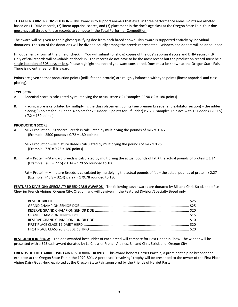**TOTAL PERFORMER COMPETITION –** This award is to support animals that excel in three performance areas. Points are allotted based on (1) DHIA records, (2) linear appraisal scores, and (3) placement in the doe's age class at the Oregon State Fair. Your doe must have all three of these records to compete in the Total Performer Competition.

The award will be given to the highest qualifying doe from each breed shown. This award is supported entirely by individual donations. The sum of the donations will be divided equally among the breeds represented. Winners and donors will be announced.

Fill out an entry form at the time of check in. You will submit (or show) copies of the doe's appraisal score and DHIA record (ILR). Only official records will bavailable at check-in. The records do not have to be the most recent but the production record must be a single lactation of 305 days or less. Please highlight the record you want considered. Does must be shown at the Oregon State Fair. There is no entry fee for this award.

Points are given so that production points (milk, fat and protein) are roughly balanced with type points (linear appraisal and class placing).

#### **TYPE SCORE:**

- A. Appraisal score is calculated by multiplying the actual score  $x$  2 (Example: FS 90  $x$  2 = 180 points).
- B. Placing score is calculated by multiplying the class placement points (see premier breeder and exhibitor section) + the udder placing (5 points for 1<sup>st</sup> udder, 4 points for 2<sup>nd</sup> udder, 3 points for 3<sup>rd</sup> udder) x 7.2 (Example: 1<sup>st</sup> place with 1<sup>st</sup> udder = (20 + 5) x 7.2 = 180 points).

#### **PRODUCTION SCORE:**

A. Milk Production – Standard Breeds is calculated by multiplying the pounds of milk x 0.072 (Example: 2500 pounds x 0.72 = 180 points)

Milk Production – Miniature Breeds calculated by multiplying the pounds of milk x 0.25 (Example: 720 x 0.25 = 180 points)

B. Fat + Protein – Standard Breeds is calculated by multiplying the actual pounds of fat + the actual pounds of protein x 1.14 (Example: (85 + 72.5) x 1.14 = 179.55 rounded to 180)

Fat + Protein – Miniature Breeds is calculated by multiplying the actual pounds of fat + the actual pounds of protein x 2.27 (Example: (46.8 + 32.4) x 2.27 = 179.78 rounded to 180)

**FEATURED DIVISION/ SPECIALTY BREED CASH AWARDS** – The following cash awards are donated by Bill and Chris Strickland of Le Chevrier French Alpines, Oregon City, Oregon, and will be given in the Featured Division/Specialty Breed only

**BEST UDDER IN SHOW** – The doe awarded best udder of each breed will compete for Best Udder in Show. The winner will be presented with a \$25 cash award donated by Le Chevrier French Alpines, Bill and Chris Strickland, Oregon City

**FRIENDS OF THE HARRIET PARTAIN REVOLVING TROPHY** – This award honors Harriet Partain, a prominent alpine breeder and exhibitor at the Oregon State Fair in the 1970-80's. A perpetual "revolving" trophy will be presented to the owner of the First Place Alpine Dairy Goat Herd exhibited at the Oregon State Fair sponsored by the Friends of Harriet Partain.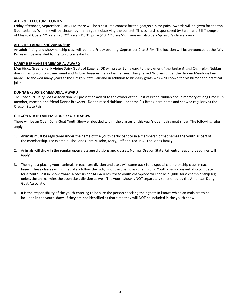#### **ALL BREED COSTUME CONTEST**

Friday afternoon, September 2, at 4 PM there will be a costume contest for the goat/exhibitor pairs. Awards will be given for the top 3 contestants. Winners will be chosen by the fairgoers observing the contest. This contest is sponsored by Sarah and Bill Thompson of Classical Goats. 1<sup>st</sup> prize \$20, 2<sup>nd</sup> prize \$15, 3<sup>rd</sup> prize \$10, 4<sup>th</sup> prize \$5. There will also be a Sponsor's choice award.

#### **ALL BREED ADULT SHOWMANSHIP**

An adult fitting and showmanship class will be held Friday evening, September 2, at 5 PM. The location will be announced at the fair. Prizes will be awarded to the top 3 contestants.

#### **HARRY HERMANSEN MEMORIAL AWARD**

Meg Hicks, Greene Herb Alpine Dairy Goats of Eugene, OR will present an award to the owner of the Junior Grand Champion Nubian doe in memory of longtime friend and Nubian breeder, Harry Hermansen. Harry raised Nubians under the Hidden Meadows herd name. He showed many years at the Oregon State Fair and in addition to his dairy goats was well known for his humor and practical jokes.

#### **DONNA BREWSTER MEMORIAL AWARD**

The Roseburg Dairy Goat Association will present an award to the owner of the Best of Breed Nubian doe in memory of long time club member, mentor, and friend Donna Brewster. Donna raised Nubians under the Elk Brook herd name and showed regularly at the Oregon State Fair.

#### **OREGON STATE FAIR EMBEDDED YOUTH SHOW**

There will be an Open Dairy Goat Youth Show embedded within the classes of this year's open dairy goat show. The following rules apply:

- 1. Animals must be registered under the name of the youth participant or in a membership that names the youth as part of the membership. For example: The Jones Family, John, Mary, Jeff and Ted. NOT the Jones family.
- 2. Animals will show in the regular open class age divisions and classes. Normal Oregon State Fair entry fees and deadlines will apply.
- 3. The highest placing youth animals in each age division and class will come back for a special championship class in each breed. These classes will immediately follow the judging of the open class champions. Youth champions will also compete for a Youth Best in Show award. Note: As per ADGA rules, these youth champions will not be eligible for a championship leg unless the animal wins the open class division as well. The youth show is NOT separately sanctioned by the American Dairy Goat Association.
- 4. It is the responsibility of the youth entering to be sure the person checking their goats in knows which animals are to be included in the youth show. If they are not identified at that time they will NOT be included in the youth show.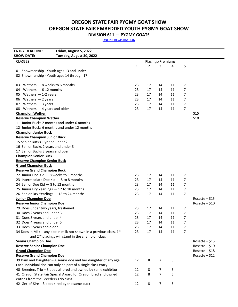# **OREGON STATE FAIR PYGMY GOAT SHOW OREGON STATE FAIR EMBEDDED YOUTH PYGMY GOAT SHOW**

**DIVISION 611 — PYGMY GOATS**

| <b>ENTRY DEADLINE:</b>                    | Friday, August 5, 2022                                                 |    |    |                   |    |                |                 |
|-------------------------------------------|------------------------------------------------------------------------|----|----|-------------------|----|----------------|-----------------|
| <b>SHOW DATE:</b>                         | Tuesday, August 30, 2022                                               |    |    |                   |    |                |                 |
| <b>CLASSES</b>                            |                                                                        |    |    | Placings/Premiums |    |                |                 |
|                                           |                                                                        | 1  | 2  | 3                 | 4  | 5              |                 |
|                                           | 01 Showmanship - Youth ages 13 and under                               |    |    |                   |    |                |                 |
|                                           | 02 Showmanship - Youth ages 14 through 17                              |    |    |                   |    |                |                 |
|                                           |                                                                        |    |    |                   |    |                |                 |
| 03 Wethers - 8 weeks to 6 months          |                                                                        | 23 | 17 | 14                | 11 | 7              |                 |
| 04 Wethers - 6-12 months                  |                                                                        | 23 | 17 | 14                | 11 | 7              |                 |
| 05 Wethers $-$ 1-2 years                  |                                                                        | 23 | 17 | 14                | 11 | $\overline{7}$ |                 |
| 06 Wethers - 2 years                      |                                                                        | 23 | 17 | 14                | 11 | 7              |                 |
| 07 Wethers - 3 years                      |                                                                        | 23 | 17 | 14                | 11 | $\overline{7}$ |                 |
| 08 Wethers - 4 years and older            |                                                                        | 23 | 17 | 14                | 11 | $\overline{7}$ |                 |
| <b>Champion Wether</b>                    |                                                                        |    |    |                   |    |                | \$15            |
| <b>Reserve Champion Wether</b>            |                                                                        |    |    |                   |    |                | \$10            |
|                                           | 11 Junior Bucks 2 months and under 6 months                            |    |    |                   |    |                |                 |
|                                           | 12 Junior Bucks 6 months and under 12 months                           |    |    |                   |    |                |                 |
| <b>Champion Junior Buck</b>               |                                                                        |    |    |                   |    |                |                 |
| <b>Reserve Champion Junior Buck</b>       |                                                                        |    |    |                   |    |                |                 |
| 15 Senior Bucks 1 yr and under 2          |                                                                        |    |    |                   |    |                |                 |
| 16 Senior Bucks 2 years and under 3       |                                                                        |    |    |                   |    |                |                 |
| 17 Senior Bucks 3 years and over          |                                                                        |    |    |                   |    |                |                 |
| <b>Champion Senior Buck</b>               |                                                                        |    |    |                   |    |                |                 |
| <b>Reserve Champion Senior Buck</b>       |                                                                        |    |    |                   |    |                |                 |
| <b>Grand Champion Buck</b>                |                                                                        |    |    |                   |    |                |                 |
| <b>Reserve Grand Champion Buck</b>        |                                                                        |    |    |                   |    |                |                 |
| 22 Junior Doe Kid - 8 weeks to 5 months   |                                                                        | 23 | 17 | 14                | 11 | 7              |                 |
| 23 Intermediate Doe Kid $-5$ to 8 months  |                                                                        | 23 | 17 | 14                | 11 | 7              |                 |
| 24 Senior Doe Kid - 8 to 12 months        |                                                                        | 23 | 17 | 14                | 11 | 7              |                 |
| 25 Junior Dry Yearlings - 12 to 18 months |                                                                        | 23 | 17 | 14                | 11 | $\overline{7}$ |                 |
| 26 Senior Dry Yearlings - 18 to 24 months |                                                                        | 23 | 17 | 14                | 11 | $\overline{7}$ |                 |
| <b>Junior Champion Doe</b>                |                                                                        |    |    |                   |    |                | Rosette + $$15$ |
| <b>Reserve Junior Champion Doe</b>        |                                                                        |    |    |                   |    |                | Rosette + \$10  |
| 29 Does under two years, freshened        |                                                                        | 23 | 17 | 14                | 11 | 7              |                 |
| 30 Does 2 years and under 3               |                                                                        | 23 | 17 | 14                | 11 | $\overline{7}$ |                 |
| 31 Does 3 years and under 4               |                                                                        | 23 | 17 | 14                | 11 | 7              |                 |
| 32 Does 4 years and under 5               |                                                                        | 23 | 17 | 14                | 11 | 7              |                 |
| 33 Does 5 years and older                 |                                                                        | 23 | 17 | 14                | 11 | 7              |                 |
|                                           | 34 Does in Milk – any doe in milk not shown in a previous class. $1st$ | 23 | 17 | 14                | 11 | $\overline{7}$ |                 |
|                                           | and 2 <sup>nd</sup> placings will stand in the champion class          |    |    |                   |    |                |                 |
| <b>Senior Champion Doe</b>                |                                                                        |    |    |                   |    |                | Rosette + $$15$ |
| <b>Reserve Senior Champion Doe</b>        |                                                                        |    |    |                   |    |                | Rosette + $$10$ |
| <b>Grand Champion Doe</b>                 |                                                                        |    |    |                   |    |                | Rosette + $$18$ |
| <b>Reserve Grand Champion Doe</b>         |                                                                        |    |    |                   |    |                | Rosette + $$12$ |
|                                           | 39 Dam and Daughter - A senior doe and her daughter of any age.        | 12 | 8  | $\overline{7}$    | 5  |                |                 |
|                                           | Each individual doe can only be part of a single class entry.          |    |    |                   |    |                |                 |
|                                           | 40 Breeders Trio - 3 does all bred and owned by same exhibitor         | 12 | 8  | 7                 | 5  |                |                 |
|                                           | 41 Oregon State Fair Special Award for Oregon bred and owned           | 12 | 8  | $\overline{7}$    | 5  |                |                 |
| entries from the Breeders Trio class.     |                                                                        |    |    |                   |    |                |                 |
|                                           | 42 Get-of-Sire - 3 does sired by the same buck                         | 12 | 8  | $\overline{7}$    | 5  |                |                 |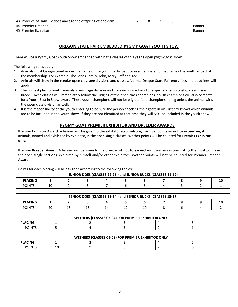43 Produce of Dam – 2 does any age the offspring of one dam 12 8 7 5

- 44 Premier Breeder Banner Banner Banner Banner Banner Banner Banner Banner Banner Banner Banner Banner Banner
- 45 Premier Exhibitor **Banner** Banner Banner Banner Banner Banner Banner Banner Banner Banner Banner Banner Banner

## **OREGON STATE FAIR EMBEDDED PYGMY GOAT YOUTH SHOW**

There will be a Pygmy Goat Youth Show embedded within the classes of this year's open pygmy goat show.

The following rules apply:

- 1. Animals must be registered under the name of the youth participant or in a membership that names the youth as part of the membership. For example: The Jones Family, John, Mary, Jeff and Ted.
- 2. Animals will show in the regular open class age divisions and classes. Normal Oregon State Fair entry fees and deadlines will apply.
- 3. The highest placing youth animals in each age division and class will come back for a special championship class in each breed. These classes will immediately follow the judging of the open class champions. Youth champions will also compete for a Youth Best in Show award. These youth champions will not be eligible for a championship leg unless the animal wins the open class division as well.
- 4. It is the responsibility of the youth entering to be sure the person checking their goats in on Tuesday knows which animals are to be included in the youth show. If they are not identified at that time they will NOT be included in the youth show.

### **PYGMY GOAT PREMIER EXHIBITOR AND BREEDER AWARDS**

**Premier Exhibitor Award:** A banner will be given to the exhibitor accumulating the most points on **not to exceed eight** animals, owned and exhibited by exhibitor, in the open single classes. Wether points will be counted for **Premier Exhibitor only**.

**Premier Breeder Award:** A banner will be given to the breeder of **not to exceed eight** animals accumulating the most points in the open single sections, exhibited by himself and/or other exhibitors. Wether points will not be counted for Premier Breeder Award.

Points for each placing will be assigned according to the following tables:

| JUNIOR DOES (CLASSES 22-26) and JUNIOR BUCKS (CLASSES 11-12) |    |  |  |  |  |  |  |  |  |  |  |
|--------------------------------------------------------------|----|--|--|--|--|--|--|--|--|--|--|
| <b>PLACING</b>                                               |    |  |  |  |  |  |  |  |  |  |  |
| <b>POINTS</b>                                                | 10 |  |  |  |  |  |  |  |  |  |  |

| SENIOR DOES (CLASSES 29-34) and SENIOR BUCKS (CLASSES 15-17) |    |  |    |    |    |  |  |  |  |  |  |  |
|--------------------------------------------------------------|----|--|----|----|----|--|--|--|--|--|--|--|
| <b>PLACING</b>                                               |    |  |    |    |    |  |  |  |  |  |  |  |
| <b>POINTS</b>                                                | 20 |  | 16 | 14 | -- |  |  |  |  |  |  |  |

| WETHERS (CLASSES 03-04) FOR PREMIER EXHIBITOR ONLY |  |  |  |  |  |  |  |  |  |
|----------------------------------------------------|--|--|--|--|--|--|--|--|--|
| <b>PLACING</b>                                     |  |  |  |  |  |  |  |  |  |
| <b>POINTS</b>                                      |  |  |  |  |  |  |  |  |  |

| WETHERS (CLASSES 05-08) FOR PREMIER EXHIBITOR ONLY |    |  |  |  |  |  |  |  |  |
|----------------------------------------------------|----|--|--|--|--|--|--|--|--|
| <b>PLACING</b>                                     |    |  |  |  |  |  |  |  |  |
| <b>POINTS</b>                                      | 10 |  |  |  |  |  |  |  |  |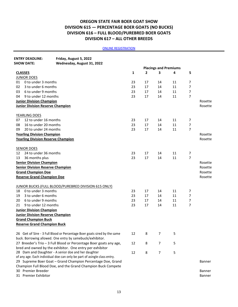# **OREGON STATE FAIR BOER GOAT SHOW DIVISION 615 — PERCENTAGE BOER GOATS (NO BUCKS) DIVISION 616 – FULL BLOOD/PUREBRED BOER GOATS DIVISION 617 – ALL OTHER BREEDS**

| <b>ENTRY DEADLINE:</b>                    | Friday, August 5, 2022                                                   |    |    |                |                              |                |         |
|-------------------------------------------|--------------------------------------------------------------------------|----|----|----------------|------------------------------|----------------|---------|
| <b>SHOW DATE:</b>                         | Wednesday, August 31, 2022                                               |    |    |                |                              |                |         |
|                                           |                                                                          |    |    |                | <b>Placings and Premiums</b> |                |         |
| <b>CLASSES</b>                            |                                                                          | 1  | 2  | 3              | 4                            | 5              |         |
| <b>JUNIOR DOES</b>                        |                                                                          |    |    |                |                              |                |         |
| 0 to under 3 months<br>01                 |                                                                          | 23 | 17 | 14             | 11                           | $\overline{7}$ |         |
| 3 to under 6 months<br>02                 |                                                                          | 23 | 17 | 14             | 11                           | 7              |         |
| 6 to under 9 months<br>03                 |                                                                          | 23 | 17 | 14             | 11                           | $\overline{7}$ |         |
| 9 to under 12 months<br>04                |                                                                          | 23 | 17 | 14             | 11                           | $\overline{7}$ |         |
| <b>Junior Division Champion</b>           |                                                                          |    |    |                |                              |                | Rosette |
| <b>Junior Division Reserve Champion</b>   |                                                                          |    |    |                |                              |                | Rosette |
| YEARLING DOES                             |                                                                          |    |    |                |                              |                |         |
| 12 to under 16 months<br>07               |                                                                          | 23 | 17 | 14             | 11                           | $\overline{7}$ |         |
| 16 to under 20 months<br>08               |                                                                          | 23 | 17 | 14             | 11                           | $\overline{7}$ |         |
| 20 to under 24 months<br>09               |                                                                          | 23 | 17 | 14             | 11                           | $\overline{7}$ |         |
| <b>Yearling Division Champion</b>         |                                                                          |    |    |                |                              |                | Rosette |
| <b>Yearling Division Reserve Champion</b> |                                                                          |    |    |                |                              |                | Rosette |
| <b>SENIOR DOES</b>                        |                                                                          |    |    |                |                              |                |         |
| 12<br>24 to under 36 months               |                                                                          | 23 | 17 | 14             | 11                           | $\overline{7}$ |         |
| 36 months plus<br>13                      |                                                                          | 23 | 17 | 14             | 11                           | $\overline{7}$ |         |
| <b>Senior Division Champion</b>           |                                                                          |    |    |                |                              |                | Rosette |
| <b>Senior Division Reserve Champion</b>   |                                                                          |    |    |                |                              |                | Rosette |
| <b>Grand Champion Doe</b>                 |                                                                          |    |    |                |                              |                | Rosette |
| <b>Reserve Grand Champion Doe</b>         |                                                                          |    |    |                |                              |                | Rosette |
|                                           | JUNIOR BUCKS (FULL BLOOD/PUREBRED DIVISION 615 ONLY)                     |    |    |                |                              |                |         |
| 0 to under 3 months<br>18                 |                                                                          | 23 | 17 | 14             | 11                           | $\overline{7}$ |         |
| 3 to under 6 months<br>19                 |                                                                          | 23 | 17 | 14             | 11                           | $\overline{7}$ |         |
| 6 to under 9 months<br>20                 |                                                                          | 23 | 17 | 14             | 11                           | $\overline{7}$ |         |
| 9 to under 12 months<br>21                |                                                                          | 23 | 17 | 14             | 11                           | $\overline{7}$ |         |
| <b>Junior Division Champion</b>           |                                                                          |    |    |                |                              |                |         |
| <b>Junior Division Reserve Champion</b>   |                                                                          |    |    |                |                              |                |         |
| <b>Grand Champion Buck</b>                |                                                                          |    |    |                |                              |                |         |
| <b>Reserve Grand Champion Buck</b>        |                                                                          |    |    |                |                              |                |         |
|                                           | 26 Get of Sire - 3 Full Blood or Percentage Boer goats sired by the same | 12 | 8  | 7              | 5                            |                |         |
|                                           | buck. Borrowing allowed. One entry by samebuck/exhibitor.                |    |    |                |                              |                |         |
|                                           | 27 Breeder's Trio - 3 Full Blood or Percentage Boer goats any age,       | 12 | 8  | $\overline{7}$ | 5                            |                |         |
|                                           | bred and owned by the exhibitor. One entry per exhibitor                 |    |    |                |                              |                |         |
|                                           | 28 Dam and Daughter - A senior doe and her daughter                      | 12 | 8  | $\overline{7}$ | 5                            |                |         |
|                                           | of any age. Each individual doe can only be part of asingle class entry. |    |    |                |                              |                |         |
|                                           | 29 Supreme Boer Goat - Grand Champion Percentage Doe, Grand              |    |    |                |                              |                | Banner  |
|                                           | Champion Full Blood Doe, and the Grand Champion Buck Compete             |    |    |                |                              |                |         |
| 30 Premier Breeder                        |                                                                          |    |    |                |                              |                | Banner  |
| 31 Premier Exhibitor                      |                                                                          |    |    |                |                              |                | Banner  |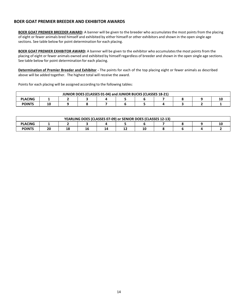#### **BOER GOAT PREMIER BREEDER AND EXHIBITOR AWARDS**

**BOER GOAT PREMIER BREEDER AWARD:** A banner will be given to the breeder who accumulatesthe most points from the placing of eight or fewer animals bred himself and exhibited by either himself or other exhibitors and shown in the open single age sections. See table below for point determination for each placing.

**BOER GOAT PREMIER EXHIBITOR AWARD:** A banner will be given to the exhibitor who accumulatesthe most points from the placing of eight or fewer animals owned and exhibited by himself regardless of breeder and shown in the open single age sections. See table below for point determination for each placing.

**Determination of Premier Breeder and Exhibitor -** The points for each of the top placing eight or fewer animals as described above will be added together. The highest total will receive the award.

Points for each placing will be assigned according to the following tables:

| JUNIOR DOES (CLASSES 01-04) and JUNIOR BUCKS (CLASSES 18-21) |    |  |  |  |  |  |  |  |    |  |  |
|--------------------------------------------------------------|----|--|--|--|--|--|--|--|----|--|--|
| <b>PLACING</b>                                               |    |  |  |  |  |  |  |  | 10 |  |  |
| <b>POINTS</b>                                                | 10 |  |  |  |  |  |  |  |    |  |  |

| YEARLING DOES (CLASSES 07-09) or SENIOR DOES (CLASSES 12-13) |    |    |    |    |    |  |  |  |  |  |  |
|--------------------------------------------------------------|----|----|----|----|----|--|--|--|--|--|--|
| <b>PLACING</b>                                               |    |    |    |    |    |  |  |  |  |  |  |
| <b>POINTS</b>                                                | 20 | 18 | 16 | 14 | -- |  |  |  |  |  |  |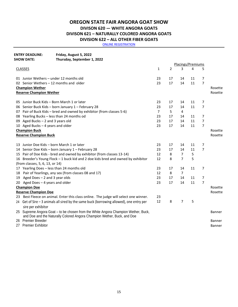# **OREGON STATE FAIR ANGORA GOAT SHOW DIVISON 620 — WHITE ANGORA GOATS DIVISON 621 – NATURALLY COLORED ANGORA GOATS DIVISION 622 – ALL OTHER FIBER GOATS**

| <b>ENTRY DEADLINE:</b><br><b>SHOW DATE:</b> | Friday, August 5, 2022<br>Thursday, September 1, 2022                                                                                                         |                |                |                   |    |                |               |
|---------------------------------------------|---------------------------------------------------------------------------------------------------------------------------------------------------------------|----------------|----------------|-------------------|----|----------------|---------------|
|                                             |                                                                                                                                                               |                |                | Placings/Premiums |    |                |               |
| <b>CLASSES</b>                              |                                                                                                                                                               | 1              | $\overline{2}$ | 3                 | 4  | 5              |               |
|                                             | 01 Junior Wethers - under 12 months old                                                                                                                       | 23             | 17             | 14                | 11 | 7              |               |
|                                             | 02 Senior Wethers - 12 months and older                                                                                                                       | 23             | 17             | 14                | 11 | 7              |               |
| <b>Champion Wether</b>                      |                                                                                                                                                               |                |                |                   |    |                | Rosette       |
|                                             | <b>Reserve Champion Wether</b>                                                                                                                                |                |                |                   |    |                | Rosette       |
|                                             | 05 Junior Buck Kids - Born March 1 or later                                                                                                                   | 23             | 17             | 14                | 11 | 7              |               |
|                                             | 06 Senior Buck Kids - born January 1 - February 28                                                                                                            | 23             | 17             | 14                | 11 | 7              |               |
| 07                                          | Pair of Buck Kids - bred and owned by exhibitor (from classes 5-6)                                                                                            | $\overline{7}$ | 5              | 4                 |    |                |               |
|                                             | 08 Yearling Bucks - less than 24 months od                                                                                                                    | 23             | 17             | 14                | 11 | 7              |               |
|                                             | 09 Aged Bucks - 2 and 3 years old                                                                                                                             | 23             | 17             | 14                | 11 | $\overline{7}$ |               |
|                                             | 10 Aged Bucks - 4 years and older                                                                                                                             | 23             | 17             | 14                | 11 | $\overline{7}$ |               |
| <b>Champion Buck</b>                        |                                                                                                                                                               |                |                |                   |    |                | Rosette       |
|                                             | <b>Reserve Champion Buck</b>                                                                                                                                  |                |                |                   |    |                | Rosette       |
|                                             | 13 Junior Doe Kids - born March 1 or later                                                                                                                    | 23             | 17             | 14                | 11 | 7              |               |
| 14                                          | Senior Doe Kids - born January 1 - February 28                                                                                                                | 23             | 17             | 14                | 11 | 7              |               |
|                                             | 15 Pair of Doe Kids - bred and owned by exhibitor (from classes 13-14)                                                                                        | 12             | 8              | 7                 | 5  |                |               |
|                                             | 16 Breeder's Young Flock - 1 buck kid and 2 doe kids bred and owned by exhibitor                                                                              | 12             | 8              | 7                 | 5  |                |               |
|                                             | (from classes, 5, 6, 13, or 14)                                                                                                                               |                |                |                   |    |                |               |
|                                             | 17 Yearling Does - less than 24 months old                                                                                                                    | 23             | 17             | 14                | 11 | 7              |               |
| 18                                          | Pair of Yearlings, any sex (from classes 08 and 17)                                                                                                           | 12             | 8              | $\overline{7}$    |    |                |               |
| 19                                          | Aged Does - 2 and 3 year olds                                                                                                                                 | 23             | 17             | 14                | 11 | 7              |               |
|                                             | 20 Aged Does - 4 years and older                                                                                                                              | 23             | 17             | 14                | 11 | $\overline{7}$ |               |
| <b>Champion Doe</b>                         |                                                                                                                                                               |                |                |                   |    |                | Rosette       |
| <b>Reserve Champion Doe</b>                 |                                                                                                                                                               |                |                |                   |    |                | Rosette       |
|                                             | 23 Best Fleece on animal. Enter this class online. The judge will select one winner.                                                                          | 23             |                |                   |    |                |               |
| 24                                          | Get of Sire - 3 animals all sired by the same buck (borrowing allowed), one entry per                                                                         | 12             | 8              | 7                 | 5  |                |               |
|                                             | sire per exhibitor                                                                                                                                            |                |                |                   |    |                |               |
|                                             | 25 Supreme Angora Goat - to be chosen from the White Angora Champion Wether, Buck,<br>and Doe and the Naturally Colored Angora Champion Wether, Buck, and Doe |                |                |                   |    |                | <b>Banner</b> |
| <b>Premier Breeder</b><br>26                |                                                                                                                                                               |                |                |                   |    |                | <b>Banner</b> |
| <b>Premier Exhibitor</b><br>27              |                                                                                                                                                               |                |                |                   |    |                | <b>Banner</b> |
|                                             |                                                                                                                                                               |                |                |                   |    |                |               |